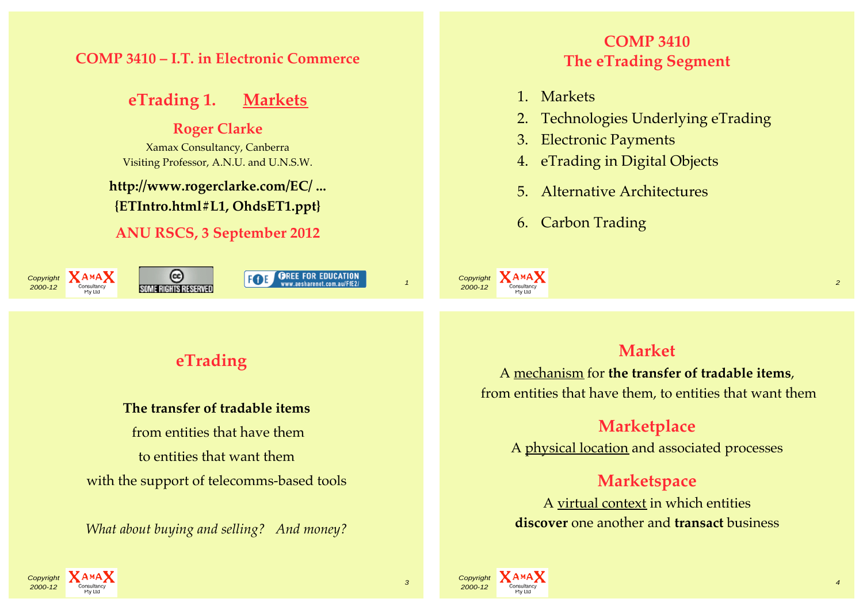#### **COMP 3410 – I.T. in Electronic Commerce**

## **eTrading 1. Markets**

#### **Roger Clarke**

Xamax Consultancy, Canberra Visiting Professor, A.N.U. and U.N.S.W.

#### **http://www.rogerclarke.com/EC/ ... {ETIntro.html#L1, OhdsET1.ppt}**

#### **ANU RSCS, 3 September 2012**



## $\overline{\text{Copyright} \atop \text{2000-12}}$   $\overline{\text{A}_{\text{conjugation}}\text{A}_{\text{non-surface}}}$   $\overline{\text{C}_{\text{non-sphere}}}$   $\overline{\text{C}_{\text{non-sphere}}}$   $\overline{\text{C}_{\text{non-sphere}}}$   $\overline{\text{C}_{\text{non-sphere}}}$   $\overline{\text{C}_{\text{non-sphere}}}$   $\overline{\text{C}_{\text{non-sphere}}}$   $\overline{\text{C}_{\text{non-sphere}}}$   $\overline{\text{C}_{\text{non-sphere}}}$   $\overline{\text{C}_{\text{non-sphere}}}$   $\overline$

## **COMP 3410 The eTrading Segment**

- 1. Markets
- 2. Technologies Underlying eTrading
- 3. Electronic Payments
- 4. eTrading in Digital Objects
- 5. Alternative Architectures
- 6. Carbon Trading

Copyright **XAMAX**  $2000-12$  Consultancy 2

## **eTrading**

#### **The transfer of tradable items**

 from entities that have them to entities that want them with the support of telecomms-based tools

*What about buying and selling? And money?*

#### **Market**

A mechanism for **the transfer of tradable items**, from entities that have them, to entities that want them

## **Marketplace**

A physical location and associated processes

#### **Marketspace**

A virtual context in which entities **discover** one another and **transact** business





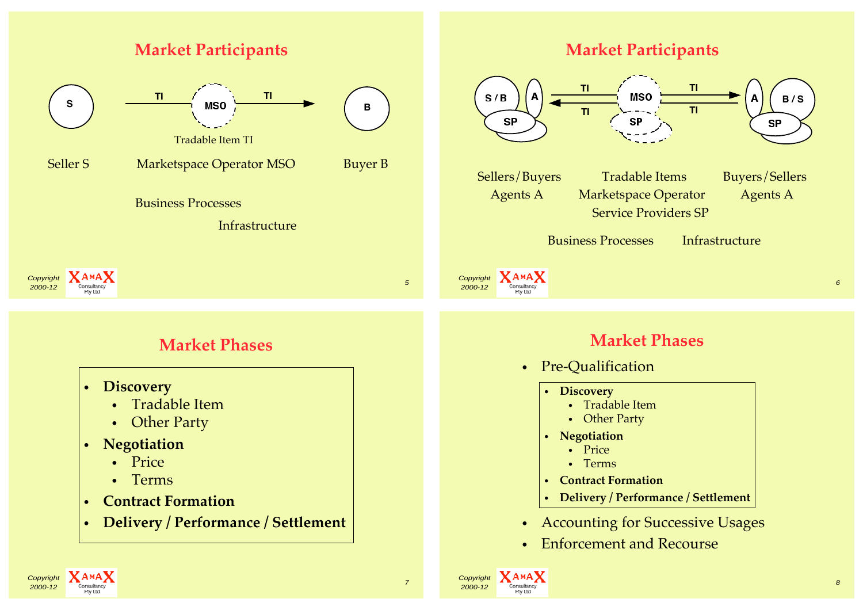

2000-12 Consultancy 2000-12 Consultancy 2000-12 Consultancy 2000-12 Consultancy 2000-12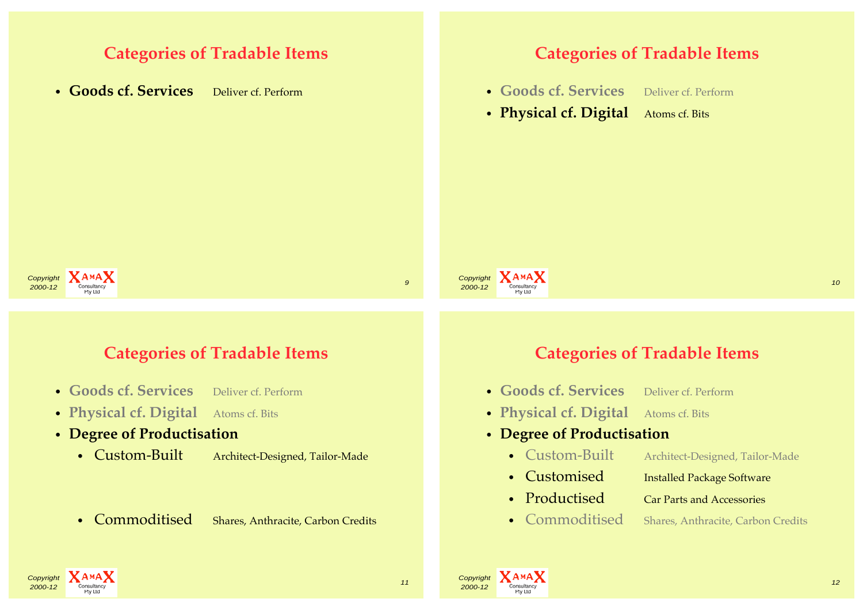## **Categories of Tradable Items**

• **Goods cf. Services** Deliver cf. Perform

#### **Categories of Tradable Items**

- **Goods cf. Services** Deliver cf. Perform
- **Physical cf. Digital** Atoms cf. Bits



## **Categories of Tradable Items**

- **Goods cf. Services** Deliver cf. Perform
- **Physical cf. Digital** Atoms cf. Bits
- **Degree of Productisation**
	- Custom-Built Architect-Designed, Tailor-Made
	- Commoditised Shares, Anthracite, Carbon Credits

## **Categories of Tradable Items**

**2000-12** Consultancy **2000-12** Consultancy **2000-12** 

- **Goods cf. Services** Deliver cf. Perform
- **Physical cf. Digital** Atoms cf. Bits

#### • **Degree of Productisation**

- Custom-Built Architect-Designed, Tailor-Made
- Customised Installed Package Software
- Productised Car Parts and Accessories
- 
- Commoditised Shares, Anthracite, Carbon Credits





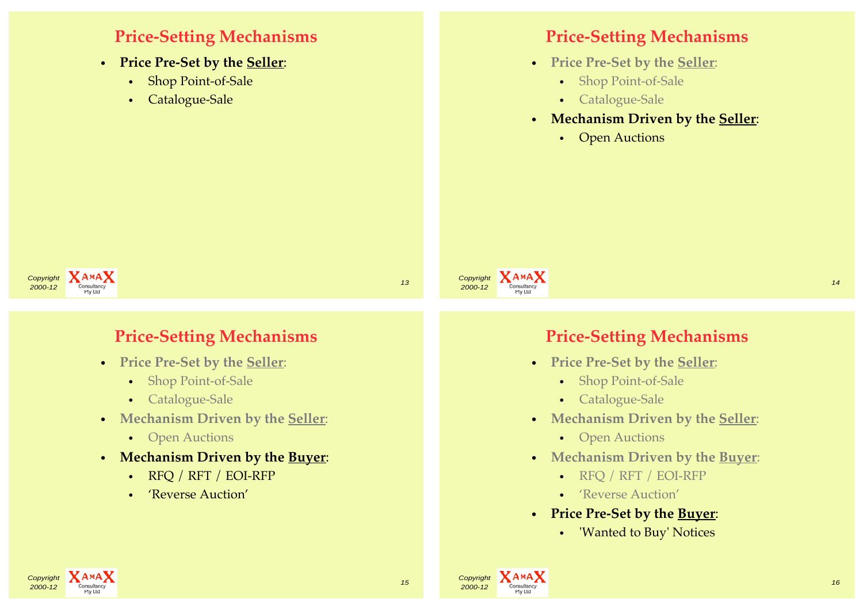## **Price-Setting Mechanisms**

- **Price Pre-Set by the Seller**:
	- Shop Point-of-Sale
	- Catalogue-Sale

## **Price-Setting Mechanisms**

- **Price Pre-Set by the Seller**:
	- Shop Point-of-Sale
	- Catalogue-Sale
- **Mechanism Driven by the Seller**:
	- Open Auctions





## **Price-Setting Mechanisms**

- **Price Pre-Set by the Seller**:
	- Shop Point-of-Sale
	- Catalogue-Sale
- **Mechanism Driven by the Seller**:
	- Open Auctions
- **Mechanism Driven by the Buyer**:
	- RFQ / RFT / EOI-RFP
	- 'Reverse Auction'

## **Price-Setting Mechanisms**

- **Price Pre-Set by the Seller**:
	- Shop Point-of-Sale
	- Catalogue-Sale
- **Mechanism Driven by the Seller**:
	- Open Auctions
- **Mechanism Driven by the Buyer**:
	- RFQ / RFT / EOI-RFP
	- 'Reverse Auction'
- **Price Pre-Set by the Buyer**:
	- 'Wanted to Buy' Notices



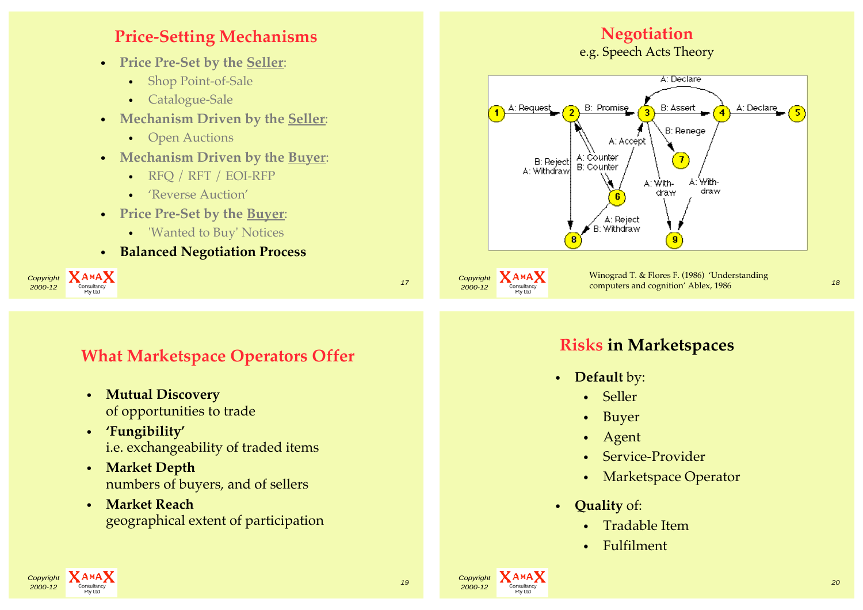## **Price-Setting Mechanisms**

- **Price Pre-Set by the Seller**:
	- Shop Point-of-Sale
	- Catalogue-Sale
- **Mechanism Driven by the Seller**:
	- Open Auctions
- **Mechanism Driven by the Buyer**:
	- RFQ / RFT / EOI-RFP
	- 'Reverse Auction'
- **Price Pre-Set by the Buyer**:
	- 'Wanted to Buy' Notices
- **Balanced Negotiation Process**



## **What Marketspace Operators Offer**

- **Mutual Discovery** of opportunities to trade
- **'Fungibility'** i.e. exchangeability of traded items
- **Market Depth** numbers of buyers, and of sellers
- **Market Reach** geographical extent of participation

# **Negotiation**

e.g. Speech Acts Theory



**Risks in Marketspaces**

- **Default** by:
	- Seller
	- Buyer
	- Agent
	- Service-Provider
	- Marketspace Operator
- **Quality** of:
	- Tradable Item
	- Fulfilment

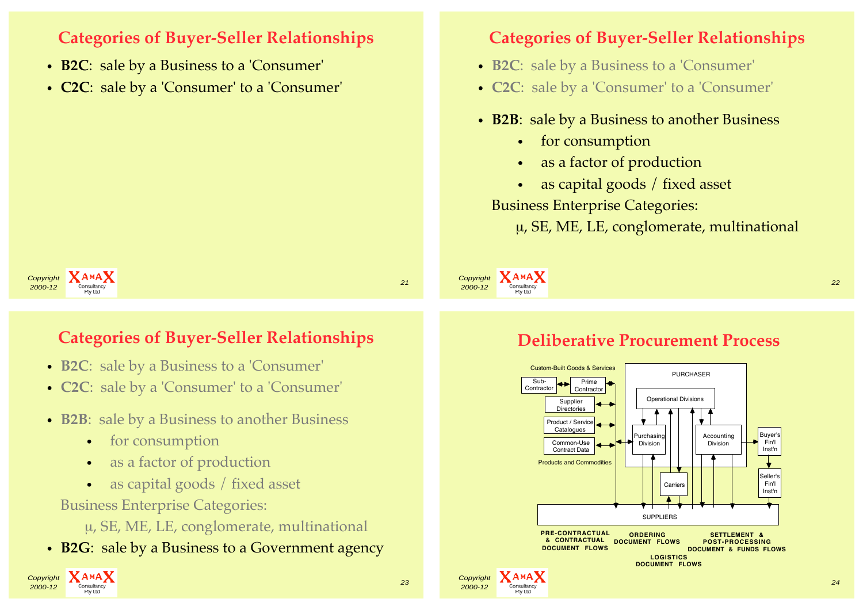## **Categories of Buyer-Seller Relationships**

- **B2C**: sale by a Business to a 'Consumer'
- **C2C**: sale by a 'Consumer' to a 'Consumer'

#### **Categories of Buyer-Seller Relationships**

- **B2C**: sale by a Business to a 'Consumer'
- **C2C**: sale by a 'Consumer' to a 'Consumer'
- **B2B**: sale by a Business to another Business
	- for consumption
	- as a factor of production
	- as capital goods / fixed asset

Business Enterprise Categories:

Custom-Built Goods & Services

Products and Commodities

Product / Service **Catalogues** Common-Use Contract Data

µ, SE, ME, LE, conglomerate, multinational

Copyright **XAMAX** experiment and the consultancy of the consultance of the consultance of the consultance of the consultance of the consultance of the consultance of the consultance of the consultance of the consultance of the consultance o

#### Copyright **XAMAX** 2000-12 Consultancy 21 Consultancy 2000-12 Property 21 2000-12 Property 21 2000-12

## **Categories of Buyer-Seller Relationships**

- **B2C**: sale by a Business to a 'Consumer'
- **C2C**: sale by a 'Consumer' to a 'Consumer'
- **B2B**: sale by a Business to another Business
	- for consumption
	- as a factor of production
	- as capital goods / fixed asset

Business Enterprise Categories:

- µ, SE, ME, LE, conglomerate, multinational
- **B2G**: sale by a Business to a Government agency





Purchasing Division

**Carriers** 

Accounting Division

Buyer's Fin'l Inst'n

Seller's Fin'l Inst'n

**Deliberative Procurement Process**

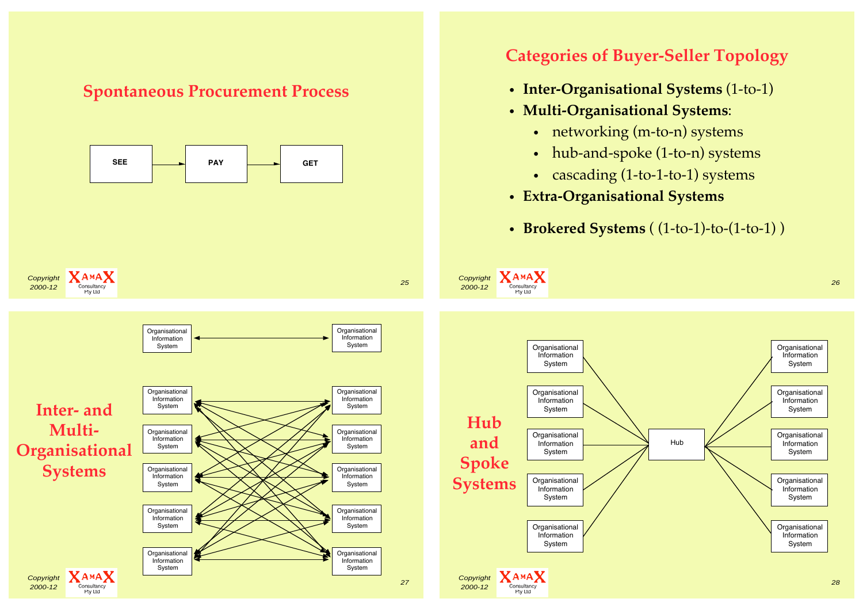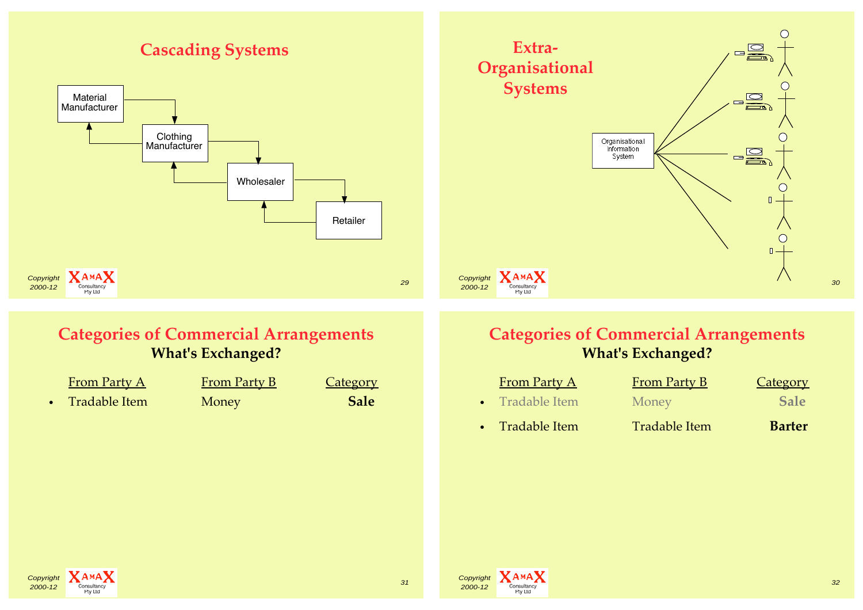## **Cascading Systems**





## **Categories of Commercial Arrangements What's Exchanged?**

| <b>From Party A</b> | <b>From Party B</b> | <b>Category</b> |
|---------------------|---------------------|-----------------|
| Tradable Item       | Money               | <b>Sale</b>     |

## **Categories of Commercial Arrangements What's Exchanged?**

| <b>From Party A</b> | <b>From Party B</b>  | Category      |
|---------------------|----------------------|---------------|
| • Tradable Item     | Money                | <b>Sale</b>   |
| • Tradable Item     | <b>Tradable Item</b> | <b>Barter</b> |



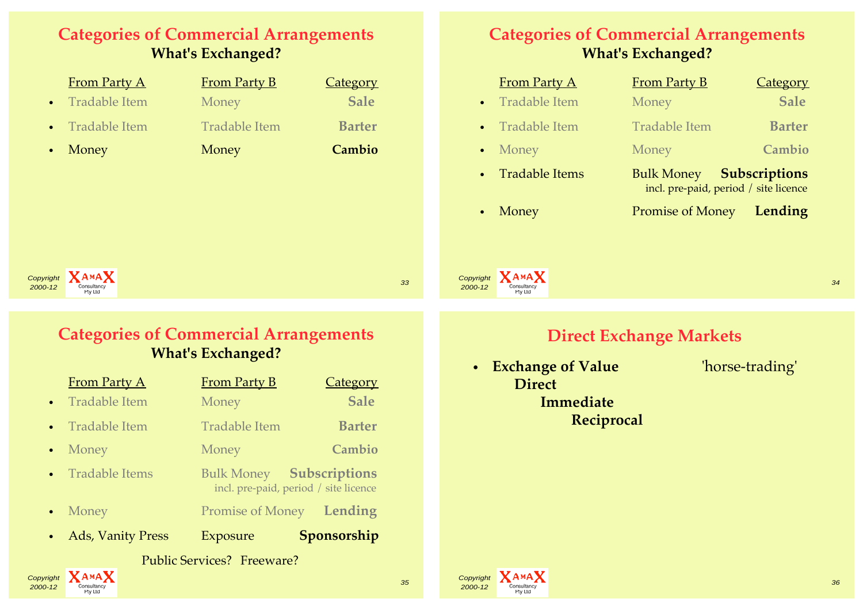## **Categories of Commercial Arrangements What's Exchanged?**

| <b>From Party A</b>        | <b>From Party B</b>  | <b>Category</b> |
|----------------------------|----------------------|-----------------|
| Tradable Item<br>$\bullet$ | Money                | <b>Sale</b>     |
| Tradable Item<br>$\bullet$ | <b>Tradable Item</b> | <b>Barter</b>   |
| Money<br>$\bullet$         | Money                | Cambio          |
|                            |                      |                 |
|                            |                      |                 |
|                            |                      |                 |
|                            |                      |                 |

## **Categories of Commercial Arrangements What's Exchanged?**

|           | <b>From Party A</b>  | <b>From Party B</b>                                                      | Category      |
|-----------|----------------------|--------------------------------------------------------------------------|---------------|
| $\bullet$ | <b>Tradable Item</b> | Money                                                                    | <b>Sale</b>   |
|           | • Tradable Item      | <b>Tradable Item</b>                                                     | <b>Barter</b> |
|           | • Money              | Money                                                                    | Cambio        |
|           | • Tradable Items     | <b>Bulk Money Subscriptions</b><br>incl. pre-paid, period / site licence |               |
| $\bullet$ | Money                | <b>Promise of Money</b>                                                  | Lending       |

Copyright **XAMAX**  $2000-12$   $\sum_{\text{Consultancy}}$  33

Copyright **XAMAX** 

## **Categories of Commercial Arrangements What's Exchanged?**

| <b>Public Services? Freeware?</b> |                          |                                                                          |                 |  |
|-----------------------------------|--------------------------|--------------------------------------------------------------------------|-----------------|--|
| $\bullet$                         | <b>Ads, Vanity Press</b> | Exposure                                                                 | Sponsorship     |  |
| $\bullet$                         | Money                    | <b>Promise of Money</b>                                                  | Lending         |  |
|                                   | • Tradable Items         | <b>Bulk Money Subscriptions</b><br>incl. pre-paid, period / site licence |                 |  |
| $\bullet$                         | Money                    | Money                                                                    | Cambio          |  |
| $\bullet$                         | Tradable Item            | <b>Tradable Item</b>                                                     | <b>Barter</b>   |  |
| $\bullet$                         | <b>Tradable Item</b>     | Money                                                                    | <b>Sale</b>     |  |
|                                   | <b>From Party A</b>      | <b>From Party B</b>                                                      | <b>Category</b> |  |

**2000-12** Consultancy **2000-2000** Consultancy **2000-2000** Service Consultance 2000-12 2000-12 2000-2000 Service Consultancy

## **Direct Exchange Markets**

 $2000-12$  Consultancy  $34$ 

• **Exchange of Value** 'horse-trading'  **Direct Immediate Reciprocal**

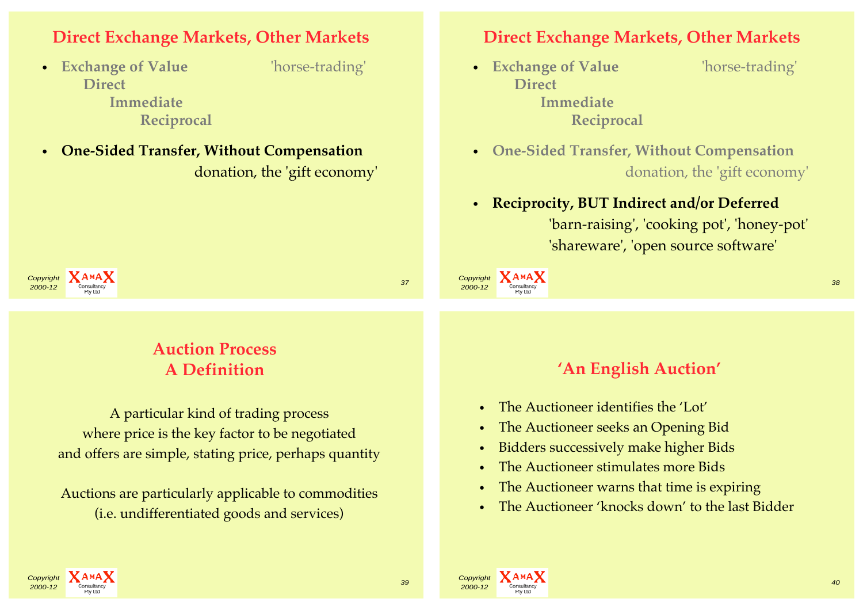### **Direct Exchange Markets, Other Markets**

• **Exchange of Value** 'horse-trading'  **Direct Immediate**

- **Reciprocal**
- **One-Sided Transfer, Without Compensation** donation, the 'gift economy'

#### **Direct Exchange Markets, Other Markets**

• **Exchange of Value** 'horse-trading'  **Direct Immediate Reciprocal**

- **One-Sided Transfer, Without Compensation** donation, the 'gift economy'
- **Reciprocity, BUT Indirect and/or Deferred**  'barn-raising', 'cooking pot', 'honey-pot' 'shareware', 'open source software'

**2000-12** Consultancy **38** 



## **Auction Process A Definition**

A particular kind of trading process where price is the key factor to be negotiated and offers are simple, stating price, perhaps quantity

Auctions are particularly applicable to commodities (i.e. undifferentiated goods and services)

#### **'An English Auction'**

- The Auctioneer identifies the 'Lot'
- The Auctioneer seeks an Opening Bid
- Bidders successively make higher Bids
- The Auctioneer stimulates more Bids
- The Auctioneer warns that time is expiring
- The Auctioneer 'knocks down' to the last Bidder